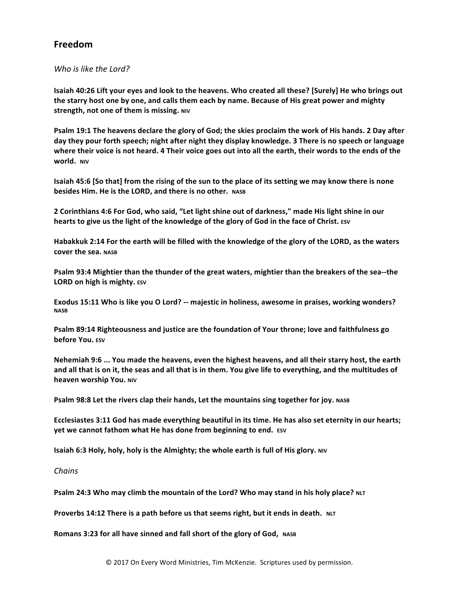## **Freedom**

## *Who is like the Lord?*

**Isaiah 40:26 Lift your eyes and look to the heavens. Who created all these? [Surely] He who brings out** the starry host one by one, and calls them each by name. Because of His great power and mighty **strength, not one of them is missing. NIV** 

**Psalm 19:1 The heavens declare the glory of God; the skies proclaim the work of His hands. 2 Day after** day they pour forth speech; night after night they display knowledge. 3 There is no speech or language where their voice is not heard. 4 Their voice goes out into all the earth, their words to the ends of the **world. NIV**

**Isaiah 45:6** [So that] from the rising of the sun to the place of its setting we may know there is none **besides Him. He is the LORD, and there is no other.** NASB

2 Corinthians 4:6 For God, who said, "Let light shine out of darkness," made His light shine in our **hearts to give us the light of the knowledge of the glory of God in the face of Christ.** Esv

Habakkuk 2:14 For the earth will be filled with the knowledge of the glory of the LORD, as the waters **cover the sea. NASB** 

Psalm 93:4 Mightier than the thunder of the great waters, mightier than the breakers of the sea--the **LORD** on high is mighty. ESV

Exodus 15:11 Who is like you O Lord? -- majestic in holiness, awesome in praises, working wonders? **NASB**

Psalm 89:14 Righteousness and justice are the foundation of Your throne; love and faithfulness go **before You.** ESV

**Nehemiah 9:6 ... You made the heavens, even the highest heavens, and all their starry host, the earth** and all that is on it, the seas and all that is in them. You give life to everything, and the multitudes of **heaven worship You. NIV** 

**Psalm 98:8 Let the rivers clap their hands, Let the mountains sing together for joy.** NASB

Ecclesiastes 3:11 God has made everything beautiful in its time. He has also set eternity in our hearts; **yet we cannot fathom what He has done from beginning to end.** ESV

**Isaiah 6:3 Holy, holy, holy is the Almighty; the whole earth is full of His glory.** NIV

*Chains* 

**Psalm 24:3 Who may climb the mountain of the Lord? Who may stand in his holy place? NLT** 

**Proverbs 14:12 There is a path before us that seems right, but it ends in death.** NLT

**Romans 3:23 for all have sinned and fall short of the glory of God, NASB**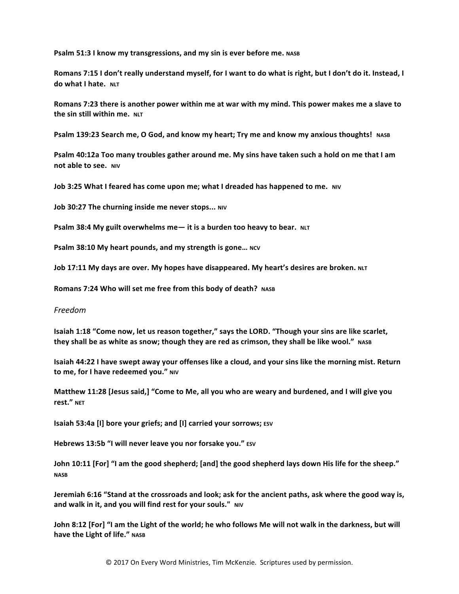**Psalm 51:3 I know my transgressions, and my sin is ever before me. NASB** 

Romans 7:15 I don't really understand myself, for I want to do what is right, but I don't do it. Instead, I **do** what I hate. NLT

Romans 7:23 there is another power within me at war with my mind. This power makes me a slave to **the sin still within me.** NLT

**Psalm 139:23 Search me, O God, and know my heart; Try me and know my anxious thoughts! NASB** 

**Psalm 40:12a Too many troubles gather around me. My sins have taken such a hold on me that I am not able to see.** NIV

**Job 3:25 What I feared has come upon me; what I dreaded has happened to me.** NIV

**Job 30:27 The churning inside me never stops... NIV** 

**Psalm** 38:4 My guilt overwhelms me — it is a burden too heavy to bear. NLT

**Psalm 38:10 My heart pounds, and my strength is gone... NCV** 

Job 17:11 My days are over. My hopes have disappeared. My heart's desires are broken. NLT

**Romans 7:24 Who will set me free from this body of death?** NASB

## *Freedom*

**Isaiah 1:18** "Come now, let us reason together," says the LORD. "Though your sins are like scarlet, they shall be as white as snow; though they are red as crimson, they shall be like wool." NASB

**Isaiah 44:22 I have swept away your offenses like a cloud, and your sins like the morning mist. Return to me, for I have redeemed you."** NIV

Matthew 11:28 [Jesus said,] "Come to Me, all you who are weary and burdened, and I will give you **rest." NET**

**Isaiah 53:4a [I] bore your griefs; and [I] carried your sorrows; ESV** 

**Hebrews 13:5b "I will never leave you nor forsake you."** ESV

John 10:11 [For] "I am the good shepherd; [and] the good shepherd lays down His life for the sheep." **NASB**

Jeremiah 6:16 "Stand at the crossroads and look; ask for the ancient paths, ask where the good way is, and walk in it, and you will find rest for your souls." NIV

**John 8:12 [For] "I am the Light of the world; he who follows Me will not walk in the darkness, but will have the Light of life."** NASB